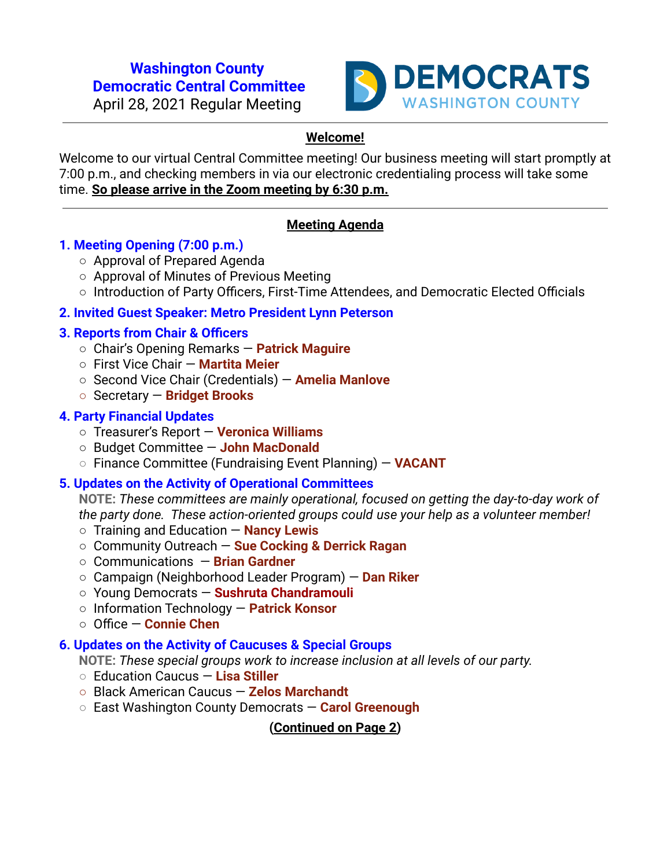#### **Washington County Democratic Central Committee**

April 28, 2021 Regular Meeting



# **Welcome!**

Welcome to our virtual Central Committee meeting! Our business meeting will start promptly at 7:00 p.m., and checking members in via our electronic credentialing process will take some time. **So please arrive in the Zoom meeting by 6:30 p.m.**

# **Meeting Agenda**

# **1. Meeting Opening (7:00 p.m.)**

- Approval of Prepared Agenda
- Approval of Minutes of Previous Meeting
- Introduction of Party Officers, First-Time Attendees, and Democratic Elected Officials

# **2. Invited Guest Speaker: Metro President Lynn Peterson**

## **3. Reports from Chair & Officers**

- Chair's Opening Remarks **Patrick Maguire**
- First Vice Chair **Martita Meier**
- Second Vice Chair (Credentials) **Amelia Manlove**
- **○** Secretary **Bridget Brooks**

## **4. Party Financial Updates**

- **○** Treasurer's Report **Veronica Williams**
- **○** Budget Committee **John MacDonald**
- **○** Finance Committee (Fundraising Event Planning) **VACANT**

## **5. Updates on the Activity of Operational Committees**

**NOTE:** *These committees are mainly operational, focused on getting the day-to-day work of the party done. These action-oriented groups could use your help as a volunteer member!*

- Training and Education **Nancy Lewis**
- Community Outreach **Sue Cocking & Derrick Ragan**
- **○** Communications **Brian Gardner**
- **○** Campaign (Neighborhood Leader Program) **Dan Riker**
- **○** Young Democrats **Sushruta Chandramouli**
- **○** Information Technology **Patrick Konsor**
- **○** Office **Connie Chen**

## **6. Updates on the Activity of Caucuses & Special Groups**

**NOTE:** *These special groups work to increase inclusion at all levels of our party.*

- **○** Education Caucus **Lisa Stiller**
- **○** Black American Caucus **Zelos Marchandt**
- **○** East Washington County Democrats **Carol Greenough**

**(Continued on Page 2)**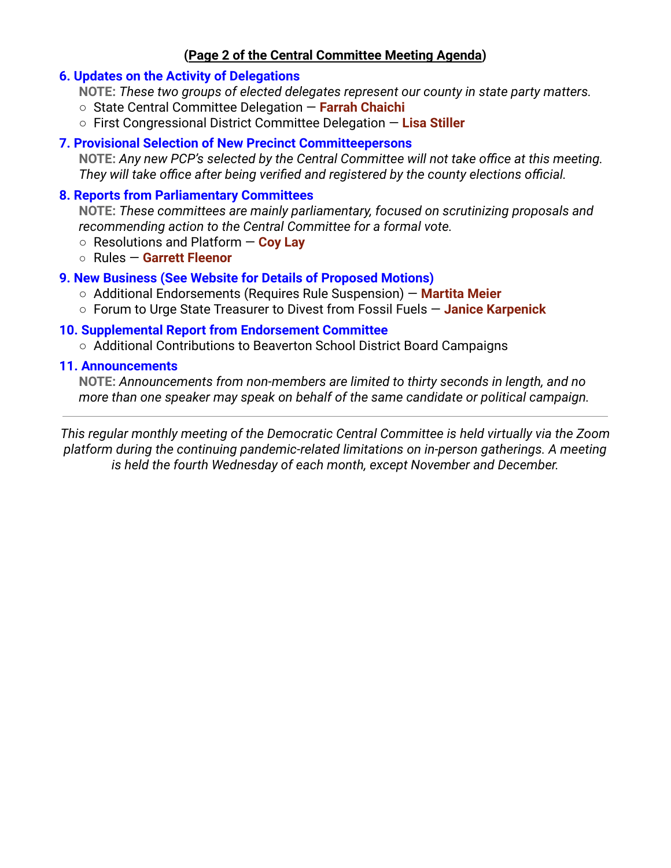## **(Page 2 of the Central Committee Meeting Agenda)**

### **6. Updates on the Activity of Delegations**

**NOTE:** *These two groups of elected delegates represent our county in state party matters.*

- State Central Committee Delegation **Farrah Chaichi**
- First Congressional District Committee Delegation **Lisa Stiller**

#### **7. Provisional Selection of New Precinct Committeepersons**

**NOTE:** *Any new PCP's selected by the Central Committee will not take office at this meeting. They will take office after being verified and registered by the county elections official.*

### **8. Reports from Parliamentary Committees**

**NOTE:** *These committees are mainly parliamentary, focused on scrutinizing proposals and recommending action to the Central Committee for a formal vote.*

- Resolutions and Platform **Coy Lay**
- Rules **Garrett Fleenor**

## **9. New Business (See Website for Details of Proposed Motions)**

- Additional Endorsements (Requires Rule Suspension) **Martita Meier**
- Forum to Urge State Treasurer to Divest from Fossil Fuels **Janice Karpenick**

## **10. Supplemental Report from Endorsement Committee**

○ Additional Contributions to Beaverton School District Board Campaigns

#### **11. Announcements**

**NOTE:** *Announcements from non-members are limited to thirty seconds in length, and no more than one speaker may speak on behalf of the same candidate or political campaign.*

*This regular monthly meeting of the Democratic Central Committee is held virtually via the Zoom platform during the continuing pandemic-related limitations on in-person gatherings. A meeting is held the fourth Wednesday of each month, except November and December.*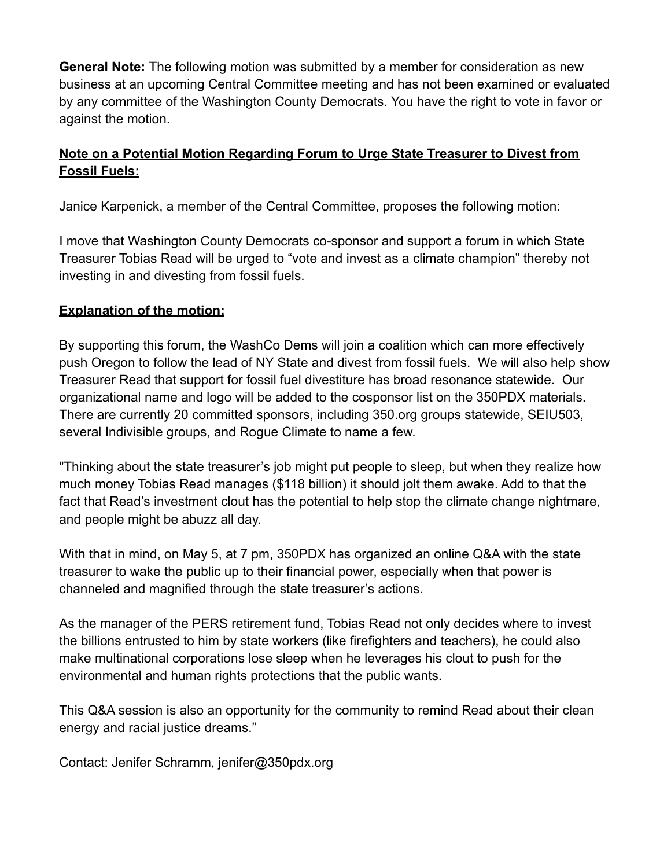**General Note:** The following motion was submitted by a member for consideration as new business at an upcoming Central Committee meeting and has not been examined or evaluated by any committee of the Washington County Democrats. You have the right to vote in favor or against the motion.

# **Note on a Potential Motion Regarding Forum to Urge State Treasurer to Divest from Fossil Fuels:**

Janice Karpenick, a member of the Central Committee, proposes the following motion:

I move that Washington County Democrats co-sponsor and support a forum in which State Treasurer Tobias Read will be urged to "vote and invest as a climate champion" thereby not investing in and divesting from fossil fuels.

# **Explanation of the motion:**

By supporting this forum, the WashCo Dems will join a coalition which can more effectively push Oregon to follow the lead of NY State and divest from fossil fuels. We will also help show Treasurer Read that support for fossil fuel divestiture has broad resonance statewide. Our organizational name and logo will be added to the cosponsor list on the 350PDX materials. There are currently 20 committed sponsors, including 350.org groups statewide, SEIU503, several Indivisible groups, and Rogue Climate to name a few.

"Thinking about the state treasurer's job might put people to sleep, but when they realize how much money Tobias Read manages (\$118 billion) it should jolt them awake. Add to that the fact that Read's investment clout has the potential to help stop the climate change nightmare, and people might be abuzz all day.

With that in mind, on May 5, at 7 pm, 350PDX has organized an online Q&A with the state treasurer to wake the public up to their financial power, especially when that power is channeled and magnified through the state treasurer's actions.

As the manager of the PERS retirement fund, Tobias Read not only decides where to invest the billions entrusted to him by state workers (like firefighters and teachers), he could also make multinational corporations lose sleep when he leverages his clout to push for the environmental and human rights protections that the public wants.

This Q&A session is also an opportunity for the community to remind Read about their clean energy and racial justice dreams."

Contact: Jenifer Schramm, jenifer@350pdx.org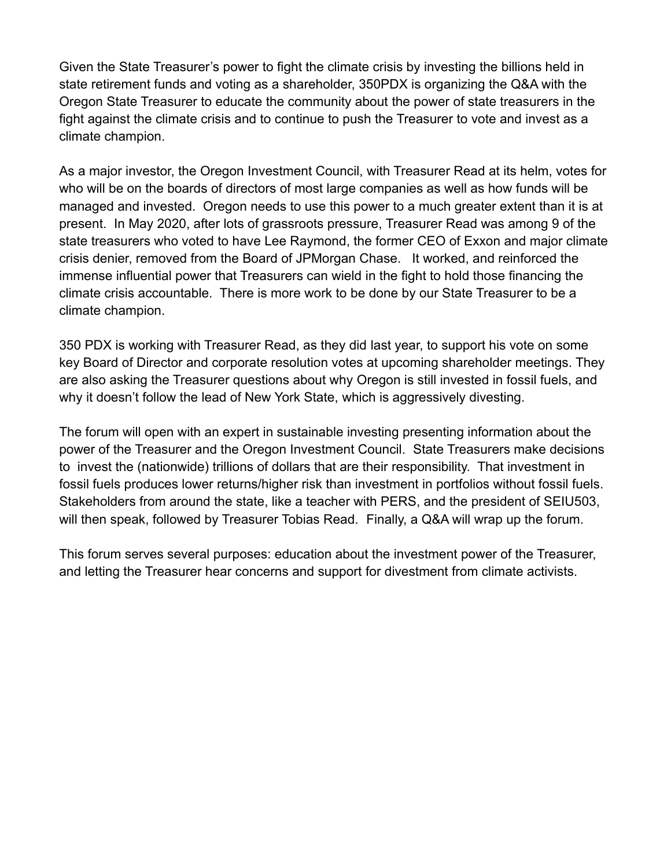Given the State Treasurer's power to fight the climate crisis by investing the billions held in state retirement funds and voting as a shareholder, 350PDX is organizing the Q&A with the Oregon State Treasurer to educate the community about the power of state treasurers in the fight against the climate crisis and to continue to push the Treasurer to vote and invest as a climate champion.

As a major investor, the Oregon Investment Council, with Treasurer Read at its helm, votes for who will be on the boards of directors of most large companies as well as how funds will be managed and invested. Oregon needs to use this power to a much greater extent than it is at present. In May 2020, after lots of grassroots pressure, Treasurer Read was among 9 of the state treasurers who voted to have Lee Raymond, the former CEO of Exxon and major climate crisis denier, removed from the Board of JPMorgan Chase. It worked, and reinforced the immense influential power that Treasurers can wield in the fight to hold those financing the climate crisis accountable. There is more work to be done by our State Treasurer to be a climate champion.

350 PDX is working with Treasurer Read, as they did last year, to support his vote on some key Board of Director and corporate resolution votes at upcoming shareholder meetings. They are also asking the Treasurer questions about why Oregon is still invested in fossil fuels, and why it doesn't follow the lead of New York State, which is aggressively divesting.

The forum will open with an expert in sustainable investing presenting information about the power of the Treasurer and the Oregon Investment Council. State Treasurers make decisions to invest the (nationwide) trillions of dollars that are their responsibility. That investment in fossil fuels produces lower returns/higher risk than investment in portfolios without fossil fuels. Stakeholders from around the state, like a teacher with PERS, and the president of SEIU503, will then speak, followed by Treasurer Tobias Read. Finally, a Q&A will wrap up the forum.

This forum serves several purposes: education about the investment power of the Treasurer, and letting the Treasurer hear concerns and support for divestment from climate activists.